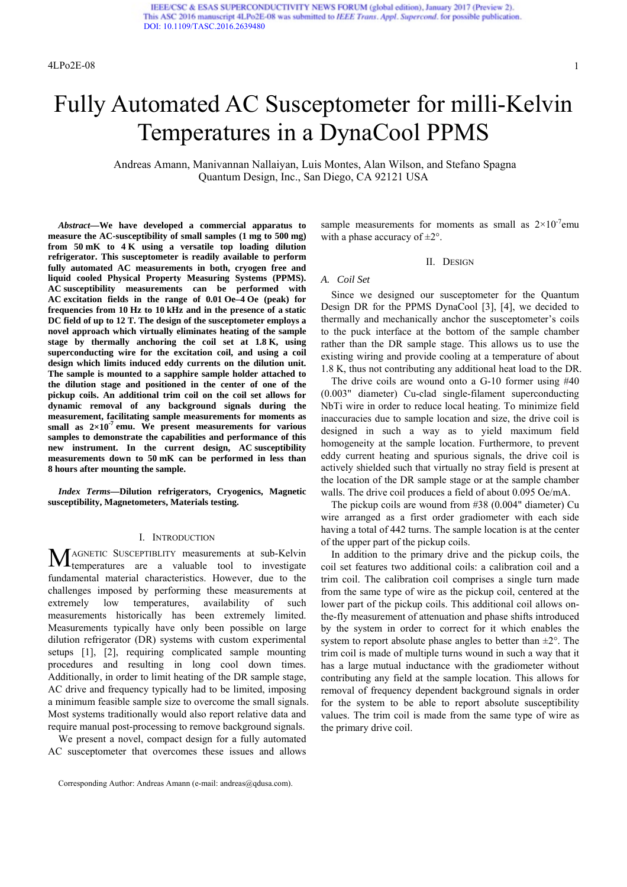IEEE/CSC & ESAS SUPERCONDUCTIVITY NEWS FORUM (global edition), January 2017 (Preview 2). This ASC 2016 manuscript 4LPo2E-08 was submitted to IEEE Trans. Appl. Supercond. for possible publication. [DOI: 10.1109/TASC.2016.2639480](http://ieeexplore.ieee.org/document/7782785/)

4LPo2E-08 1

# Fully Automated AC Susceptometer for milli-Kelvin Temperatures in a DynaCool PPMS

 Andreas Amann, Manivannan Nallaiyan, Luis Montes, Alan Wilson, and Stefano Spagna Quantum Design, Inc., San Diego, CA 92121 USA

*Abstract***—We have developed a commercial apparatus to measure the AC-susceptibility of small samples (1 mg to 500 mg) from 50 mK to 4 K using a versatile top loading dilution refrigerator. This susceptometer is readily available to perform fully automated AC measurements in both, cryogen free and liquid cooled Physical Property Measuring Systems (PPMS). AC susceptibility measurements can be performed with AC excitation fields in the range of 0.01 Oe–4 Oe (peak) for frequencies from 10 Hz to 10 kHz and in the presence of a static DC field of up to 12 T. The design of the susceptometer employs a novel approach which virtually eliminates heating of the sample stage by thermally anchoring the coil set at 1.8 K, using superconducting wire for the excitation coil, and using a coil design which limits induced eddy currents on the dilution unit. The sample is mounted to a sapphire sample holder attached to the dilution stage and positioned in the center of one of the pickup coils. An additional trim coil on the coil set allows for dynamic removal of any background signals during the measurement, facilitating sample measurements for moments as**  small as  $2\times10^{-7}$  emu. We present measurements for various **samples to demonstrate the capabilities and performance of this new instrument. In the current design, AC susceptibility measurements down to 50 mK can be performed in less than 8 hours after mounting the sample.** 

*Index Terms***—Dilution refrigerators, Cryogenics, Magnetic susceptibility, Magnetometers, Materials testing.** 

#### I. INTRODUCTION

AGNETIC SUSCEPTIBLITY measurements at sub-Kelvin MAGNETIC SUSCEPTIBLITY measurements at sub-Kelvin<br>temperatures are a valuable tool to investigate fundamental material characteristics. However, due to the challenges imposed by performing these measurements at extremely low temperatures, availability of such measurements historically has been extremely limited. Measurements typically have only been possible on large dilution refrigerator (DR) systems with custom experimental setups [1], [2], requiring complicated sample mounting procedures and resulting in long cool down times. Additionally, in order to limit heating of the DR sample stage, AC drive and frequency typically had to be limited, imposing a minimum feasible sample size to overcome the small signals. Most systems traditionally would also report relative data and require manual post-processing to remove background signals.

We present a novel, compact design for a fully automated AC susceptometer that overcomes these issues and allows

Corresponding Author: Andreas Amann (e-mail: andreas@qdusa.com).

sample measurements for moments as small as  $2\times10^{-7}$ emu with a phase accuracy of  $\pm 2^{\circ}$ .

### II. DESIGN

#### *A. Coil Set*

Since we designed our susceptometer for the Quantum Design DR for the PPMS DynaCool [3], [4], we decided to thermally and mechanically anchor the susceptometer's coils to the puck interface at the bottom of the sample chamber rather than the DR sample stage. This allows us to use the existing wiring and provide cooling at a temperature of about 1.8 K, thus not contributing any additional heat load to the DR.

The drive coils are wound onto a G-10 former using #40 (0.003" diameter) Cu-clad single-filament superconducting NbTi wire in order to reduce local heating. To minimize field inaccuracies due to sample location and size, the drive coil is designed in such a way as to yield maximum field homogeneity at the sample location. Furthermore, to prevent eddy current heating and spurious signals, the drive coil is actively shielded such that virtually no stray field is present at the location of the DR sample stage or at the sample chamber walls. The drive coil produces a field of about 0.095 Oe/mA.

The pickup coils are wound from #38 (0.004" diameter) Cu wire arranged as a first order gradiometer with each side having a total of 442 turns. The sample location is at the center of the upper part of the pickup coils.

In addition to the primary drive and the pickup coils, the coil set features two additional coils: a calibration coil and a trim coil. The calibration coil comprises a single turn made from the same type of wire as the pickup coil, centered at the lower part of the pickup coils. This additional coil allows onthe-fly measurement of attenuation and phase shifts introduced by the system in order to correct for it which enables the system to report absolute phase angles to better than  $\pm 2^{\circ}$ . The trim coil is made of multiple turns wound in such a way that it has a large mutual inductance with the gradiometer without contributing any field at the sample location. This allows for removal of frequency dependent background signals in order for the system to be able to report absolute susceptibility values. The trim coil is made from the same type of wire as the primary drive coil.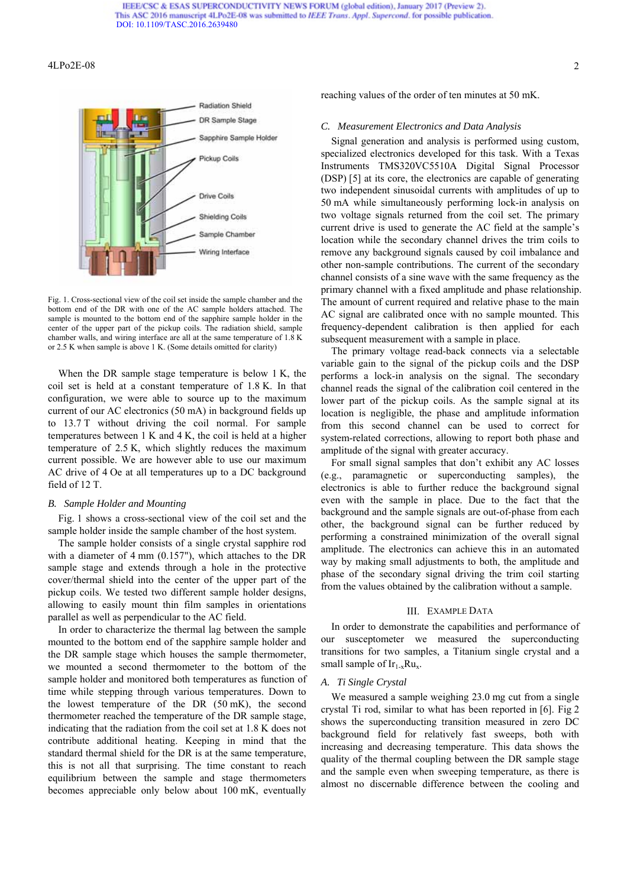## 4LPo2E-08 2



Fig. 1. Cross-sectional view of the coil set inside the sample chamber and the bottom end of the DR with one of the AC sample holders attached. The sample is mounted to the bottom end of the sapphire sample holder in the center of the upper part of the pickup coils. The radiation shield, sample chamber walls, and wiring interface are all at the same temperature of 1.8 K or 2.5 K when sample is above 1 K. (Some details omitted for clarity)

When the DR sample stage temperature is below 1 K, the coil set is held at a constant temperature of 1.8 K. In that configuration, we were able to source up to the maximum current of our AC electronics (50 mA) in background fields up to 13.7 T without driving the coil normal. For sample temperatures between 1 K and 4 K, the coil is held at a higher temperature of 2.5 K, which slightly reduces the maximum current possible. We are however able to use our maximum AC drive of 4 Oe at all temperatures up to a DC background field of 12 T.

## *B. Sample Holder and Mounting*

Fig. 1 shows a cross-sectional view of the coil set and the sample holder inside the sample chamber of the host system.

The sample holder consists of a single crystal sapphire rod with a diameter of 4 mm (0.157"), which attaches to the DR sample stage and extends through a hole in the protective cover/thermal shield into the center of the upper part of the pickup coils. We tested two different sample holder designs, allowing to easily mount thin film samples in orientations parallel as well as perpendicular to the AC field.

In order to characterize the thermal lag between the sample mounted to the bottom end of the sapphire sample holder and the DR sample stage which houses the sample thermometer, we mounted a second thermometer to the bottom of the sample holder and monitored both temperatures as function of time while stepping through various temperatures. Down to the lowest temperature of the DR (50 mK), the second thermometer reached the temperature of the DR sample stage, indicating that the radiation from the coil set at 1.8 K does not contribute additional heating. Keeping in mind that the standard thermal shield for the DR is at the same temperature, this is not all that surprising. The time constant to reach equilibrium between the sample and stage thermometers becomes appreciable only below about 100 mK, eventually reaching values of the order of ten minutes at 50 mK.

#### *C. Measurement Electronics and Data Analysis*

Signal generation and analysis is performed using custom, specialized electronics developed for this task. With a Texas Instruments TMS320VC5510A Digital Signal Processor (DSP) [5] at its core, the electronics are capable of generating two independent sinusoidal currents with amplitudes of up to 50 mA while simultaneously performing lock-in analysis on two voltage signals returned from the coil set. The primary current drive is used to generate the AC field at the sample's location while the secondary channel drives the trim coils to remove any background signals caused by coil imbalance and other non-sample contributions. The current of the secondary channel consists of a sine wave with the same frequency as the primary channel with a fixed amplitude and phase relationship. The amount of current required and relative phase to the main AC signal are calibrated once with no sample mounted. This frequency-dependent calibration is then applied for each subsequent measurement with a sample in place.

The primary voltage read-back connects via a selectable variable gain to the signal of the pickup coils and the DSP performs a lock-in analysis on the signal. The secondary channel reads the signal of the calibration coil centered in the lower part of the pickup coils. As the sample signal at its location is negligible, the phase and amplitude information from this second channel can be used to correct for system-related corrections, allowing to report both phase and amplitude of the signal with greater accuracy.

For small signal samples that don't exhibit any AC losses (e.g., paramagnetic or superconducting samples), the electronics is able to further reduce the background signal even with the sample in place. Due to the fact that the background and the sample signals are out-of-phase from each other, the background signal can be further reduced by performing a constrained minimization of the overall signal amplitude. The electronics can achieve this in an automated way by making small adjustments to both, the amplitude and phase of the secondary signal driving the trim coil starting from the values obtained by the calibration without a sample.

#### III. EXAMPLE DATA

In order to demonstrate the capabilities and performance of our susceptometer we measured the superconducting transitions for two samples, a Titanium single crystal and a small sample of  $Ir_{1-x}Ru_{x}$ .

#### *A. Ti Single Crystal*

We measured a sample weighing 23.0 mg cut from a single crystal Ti rod, similar to what has been reported in [6]. Fig 2 shows the superconducting transition measured in zero DC background field for relatively fast sweeps, both with increasing and decreasing temperature. This data shows the quality of the thermal coupling between the DR sample stage and the sample even when sweeping temperature, as there is almost no discernable difference between the cooling and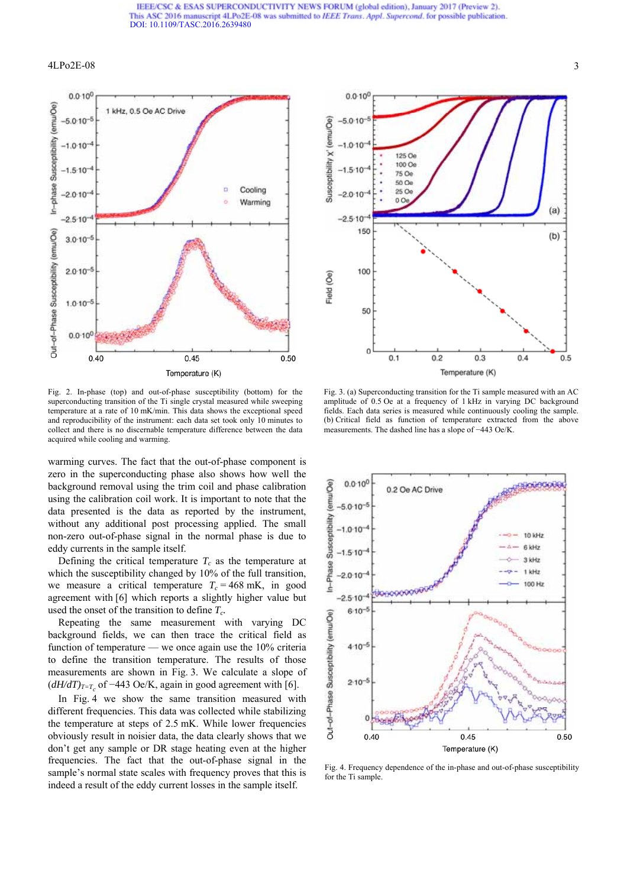IEEE/CSC & ESAS SUPERCONDUCTIVITY NEWS FORUM (global edition), January 2017 (Preview 2). This ASC 2016 manuscript 4LPo2E-08 was submitted to IEEE Trans. Appl. Supercond. for possible publication. [DOI: 10.1109/TASC.2016.2639480](http://ieeexplore.ieee.org/document/7782785/)

#### 4LPo2E-08 3



Fig. 2. In-phase (top) and out-of-phase susceptibility (bottom) for the superconducting transition of the Ti single crystal measured while sweeping temperature at a rate of 10 mK/min. This data shows the exceptional speed and reproducibility of the instrument: each data set took only 10 minutes to collect and there is no discernable temperature difference between the data acquired while cooling and warming.

warming curves. The fact that the out-of-phase component is zero in the superconducting phase also shows how well the background removal using the trim coil and phase calibration using the calibration coil work. It is important to note that the data presented is the data as reported by the instrument, without any additional post processing applied. The small non-zero out-of-phase signal in the normal phase is due to eddy currents in the sample itself.

Defining the critical temperature  $T_c$  as the temperature at which the susceptibility changed by 10% of the full transition, we measure a critical temperature  $T_c = 468 \text{ mK}$ , in good agreement with [6] which reports a slightly higher value but used the onset of the transition to define  $T_c$ .

Repeating the same measurement with varying DC background fields, we can then trace the critical field as function of temperature — we once again use the 10% criteria to define the transition temperature. The results of those measurements are shown in Fig. 3. We calculate a slope of  $(dH/dT)_{T=T_c}$  of −443 Oe/K, again in good agreement with [6].

In Fig. 4 we show the same transition measured with different frequencies. This data was collected while stabilizing the temperature at steps of 2.5 mK. While lower frequencies obviously result in noisier data, the data clearly shows that we don't get any sample or DR stage heating even at the higher frequencies. The fact that the out-of-phase signal in the sample's normal state scales with frequency proves that this is indeed a result of the eddy current losses in the sample itself.



Fig. 3. (a) Superconducting transition for the Ti sample measured with an AC amplitude of 0.5 Oe at a frequency of 1 kHz in varying DC background fields. Each data series is measured while continuously cooling the sample. (b) Critical field as function of temperature extracted from the above measurements. The dashed line has a slope of −443 Oe/K.



Fig. 4. Frequency dependence of the in-phase and out-of-phase susceptibility for the Ti sample.